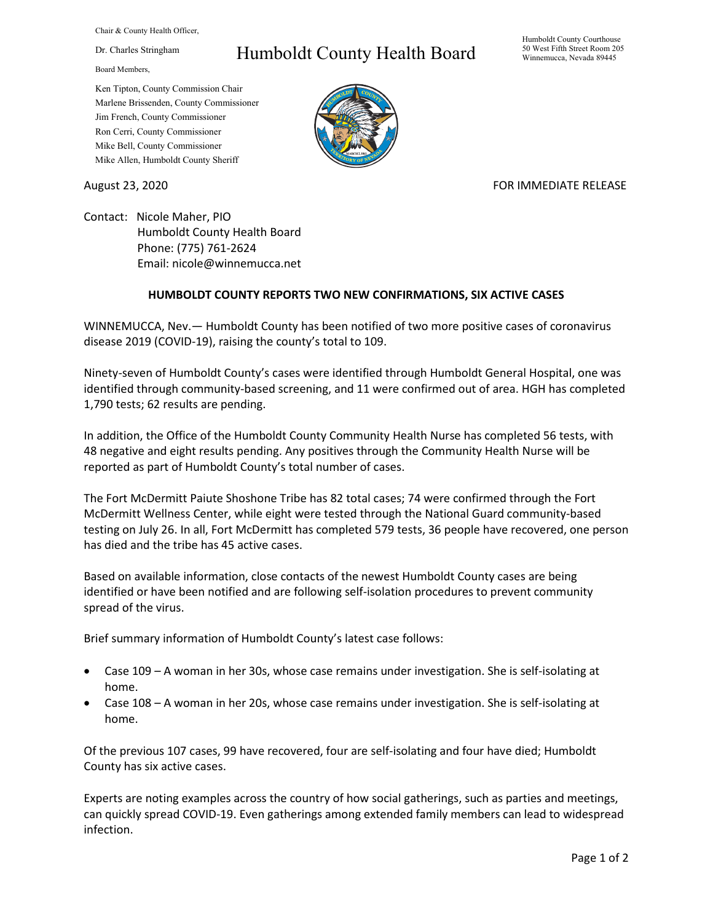Chair & County Health Officer,

Dr. Charles Stringham

Board Members,

## Humboldt County Health Board

Humboldt County Courthouse 50 West Fifth Street Room 205 Winnemucca, Nevada 89445

Ken Tipton, County Commission Chair Marlene Brissenden, County Commissioner Jim French, County Commissioner Ron Cerri, County Commissioner Mike Bell, County Commissioner Mike Allen, Humboldt County Sheriff

## August 23, 2020 **FOR IMMEDIATE RELEASE**

Contact: Nicole Maher, PIO Humboldt County Health Board Phone: (775) 761-2624 Email: nicole@winnemucca.net

## **HUMBOLDT COUNTY REPORTS TWO NEW CONFIRMATIONS, SIX ACTIVE CASES**

WINNEMUCCA, Nev.— Humboldt County has been notified of two more positive cases of coronavirus disease 2019 (COVID-19), raising the county's total to 109.

Ninety-seven of Humboldt County's cases were identified through Humboldt General Hospital, one was identified through community-based screening, and 11 were confirmed out of area. HGH has completed 1,790 tests; 62 results are pending.

In addition, the Office of the Humboldt County Community Health Nurse has completed 56 tests, with 48 negative and eight results pending. Any positives through the Community Health Nurse will be reported as part of Humboldt County's total number of cases.

The Fort McDermitt Paiute Shoshone Tribe has 82 total cases; 74 were confirmed through the Fort McDermitt Wellness Center, while eight were tested through the National Guard community-based testing on July 26. In all, Fort McDermitt has completed 579 tests, 36 people have recovered, one person has died and the tribe has 45 active cases.

Based on available information, close contacts of the newest Humboldt County cases are being identified or have been notified and are following self-isolation procedures to prevent community spread of the virus.

Brief summary information of Humboldt County's latest case follows:

- Case 109 A woman in her 30s, whose case remains under investigation. She is self-isolating at home.
- Case 108 A woman in her 20s, whose case remains under investigation. She is self-isolating at home.

Of the previous 107 cases, 99 have recovered, four are self-isolating and four have died; Humboldt County has six active cases.

Experts are noting examples across the country of how social gatherings, such as parties and meetings, can quickly spread COVID-19. Even gatherings among extended family members can lead to widespread infection.